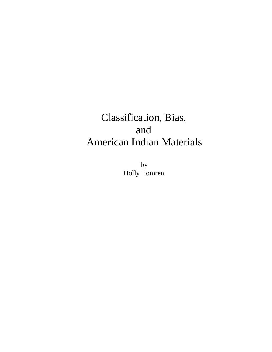# Classification, Bias, and American Indian Materials

by Holly Tomren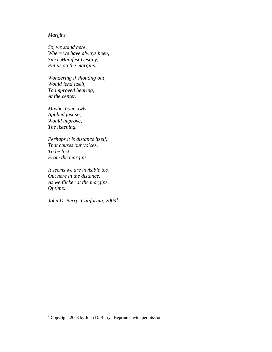# *Margins*

*So, we stand here. Where we have always been, Since Manifest Destiny, Put us on the margins.*

*Wondering if shouting out, Would lend itself, To improved hearing, At the center.*

*Maybe, bone awls, Applied just so, Would improve, The listening.*

*Perhaps it is distance itself, That causes our voices, To be lost, From the margins.*

*It seems we are invisible too, Out here in the distance, As we flicker at the margins, Of time.*

*John D. Berry, California, 2003<sup>1</sup>*

 1 Copyright 2003 by John D. Berry. Reprinted with permission.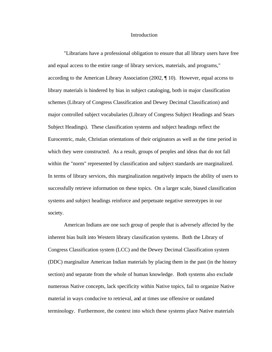#### Introduction

"Librarians have a professional obligation to ensure that all library users have free and equal access to the entire range of library services, materials, and programs," according to the American Library Association (2002, ¶ 10). However, equal access to library materials is hindered by bias in subject cataloging, both in major classification schemes (Library of Congress Classification and Dewey Decimal Classification) and major controlled subject vocabularies (Library of Congress Subject Headings and Sears Subject Headings). These classification systems and subject headings reflect the Eurocentric, male, Christian orientations of their originators as well as the time period in which they were constructed. As a result, groups of peoples and ideas that do not fall within the "norm" represented by classification and subject standards are marginalized. In terms of library services, this marginalization negatively impacts the ability of users to successfully retrieve information on these topics. On a larger scale, biased classification systems and subject headings reinforce and perpetuate negative stereotypes in our society.

American Indians are one such group of people that is adversely affected by the inherent bias built into Western library classification systems. Both the Library of Congress Classification system (LCC) and the Dewey Decimal Classification system (DDC) marginalize American Indian materials by placing them in the past (in the history section) and separate from the whole of human knowledge. Both systems also exclude numerous Native concepts, lack specificity within Native topics, fail to organize Native material in ways conducive to retrieval, and at times use offensive or outdated terminology. Furthermore, the context into which these systems place Native materials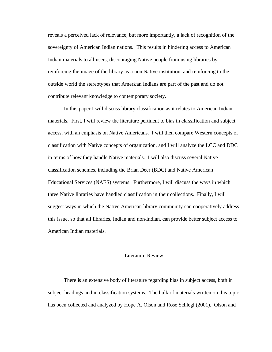reveals a perceived lack of relevance, but more importantly, a lack of recognition of the sovereignty of American Indian nations. This results in hindering access to American Indian materials to all users, discouraging Native people from using libraries by reinforcing the image of the library as a non-Native institution, and reinforcing to the outside world the stereotypes that American Indians are part of the past and do not contribute relevant knowledge to contemporary society.

In this paper I will discuss library classification as it relates to American Indian materials. First, I will review the literature pertinent to bias in cla ssification and subject access, with an emphasis on Native Americans. I will then compare Western concepts of classification with Native concepts of organization, and I will analyze the LCC and DDC in terms of how they handle Native materials. I will also discuss several Native classification schemes, including the Brian Deer (BDC) and Native American Educational Services (NAES) systems. Furthermore, I will discuss the ways in which three Native libraries have handled classification in their collections. Finally, I will suggest ways in which the Native American library community can cooperatively address this issue, so that all libraries, Indian and non-Indian, can provide better subject access to American Indian materials.

# Literature Review

There is an extensive body of literature regarding bias in subject access, both in subject headings and in classification systems. The bulk of materials written on this topic has been collected and analyzed by Hope A. Olson and Rose Schlegl (2001). Olson and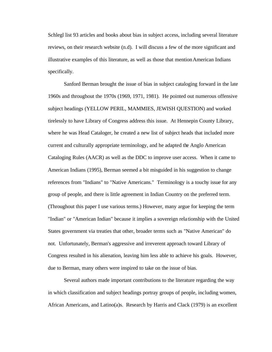Schlegl list 93 articles and books about bias in subject access, including several literature reviews, on their research website (n.d). I will discuss a few of the more significant and illustrative examples of this literature, as well as those that mention American Indians specifically.

Sanford Berman brought the issue of bias in subject cataloging forward in the late 1960s and throughout the 1970s (1969, 1971, 1981). He pointed out numerous offensive subject headings (YELLOW PERIL, MAMMIES, JEWISH QUESTION) and worked tirelessly to have Library of Congress address this issue. At Hennepin County Library, where he was Head Cataloger, he created a new list of subject heads that included more current and culturally appropriate terminology, and he adapted the Anglo American Cataloging Rules (AACR) as well as the DDC to improve user access. When it came to American Indians (1995), Berman seemed a bit misguided in his suggestion to change references from "Indians" to "Native Americans." Terminology is a touchy issue for any group of people, and there is little agreement in Indian Country on the preferred term. (Throughout this paper I use various terms.) However, many argue for keeping the term "Indian" or "American Indian" because it implies a sovereign rela tionship with the United States government via treaties that other, broader terms such as "Native American" do not. Unfortunately, Berman's aggressive and irreverent approach toward Library of Congress resulted in his alienation, leaving him less able to achieve his goals. However, due to Berman, many others were inspired to take on the issue of bias.

Several authors made important contributions to the literature regarding the way in which classification and subject headings portray groups of people, including women, African Americans, and Latino(a)s. Research by Harris and Clack (1979) is an excellent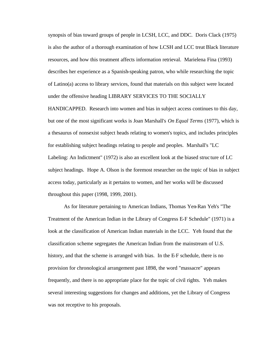synopsis of bias toward groups of people in LCSH, LCC, and DDC. Doris Clack (1975) is also the author of a thorough examination of how LCSH and LCC treat Black literature resources, and how this treatment affects information retrieval. Marielena Fina (1993) describes her experience as a Spanish-speaking patron, who while researching the topic of Latino(a) access to library services, found that materials on this subject were located under the offensive heading LIBRARY SERVICES TO THE SOCIALLY

HANDICAPPED. Research into women and bias in subject access continues to this day, but one of the most significant works is Joan Marshall's *On Equal Terms* (1977), which is a thesaurus of nonsexist subject heads relating to women's topics, and includes principles for establishing subject headings relating to people and peoples. Marshall's "LC Labeling: An Indictment" (1972) is also an excellent look at the biased struc ture of LC subject headings. Hope A. Olson is the foremost researcher on the topic of bias in subject access today, particularly as it pertains to women, and her works will be discussed throughout this paper (1998, 1999, 2001).

As for literature pertaining to American Indians, Thomas Yen-Ran Yeh's "The Treatment of the American Indian in the Library of Congress E-F Schedule" (1971) is a look at the classification of American Indian materials in the LCC. Yeh found that the classification scheme segregates the American Indian from the mainstream of U.S. history, and that the scheme is arranged with bias. In the E-F schedule, there is no provision for chronological arrangement past 1898, the word "massacre" appears frequently, and there is no appropriate place for the topic of civil rights. Yeh makes several interesting suggestions for changes and additions, yet the Library of Congress was not receptive to his proposals.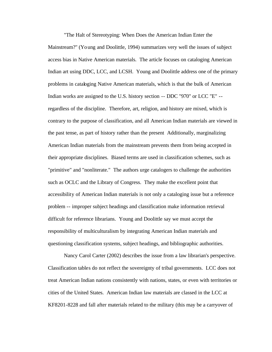"The Halt of Stereotyping: When Does the American Indian Enter the Mainstream?" (Young and Doolittle, 1994) summarizes very well the issues of subject access bias in Native American materials. The article focuses on cataloging American Indian art using DDC, LCC, and LCSH. Young and Doolittle address one of the primary problems in cataloging Native American materials, which is that the bulk of American Indian works are assigned to the U.S. history section -- DDC "970" or LCC "E" - regardless of the discipline. Therefore, art, religion, and history are mixed, which is contrary to the purpose of classification, and all American Indian materials are viewed in the past tense, as part of history rather than the present Additionally, marginalizing American Indian materials from the mainstream prevents them from being accepted in their appropriate disciplines. Biased terms are used in classification schemes, such as "primitive" and "nonliterate." The authors urge catalogers to challenge the authorities such as OCLC and the Library of Congress. They make the excellent point that accessibility of American Indian materials is not only a cataloging issue but a reference problem -- improper subject headings and classification make information retrieval difficult for reference librarians. Young and Doolittle say we must accept the responsibility of multiculturalism by integrating American Indian materials and questioning classification systems, subject headings, and bibliographic authorities.

Nancy Carol Carter (2002) describes the issue from a law librarian's perspective. Classification tables do not reflect the sovereignty of tribal governments. LCC does not treat American Indian nations consistently with nations, states, or even with territories or cities of the United States. American Indian law materials are classed in the LCC at KF8201-8228 and fall after materials related to the military (this may be a carryover of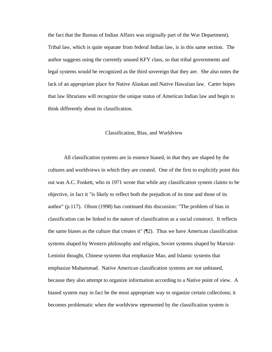the fact that the Bureau of Indian Affairs was originally part of the War Department). Tribal law, which is quite separate from federal Indian law, is in this same section. The author suggests using the currently unused KFY class, so that tribal governments and legal systems would be recognized as the third sovereign that they are. She also notes the lack of an appropriate place for Native Alaskan and Native Hawaiian law. Carter hopes that law librarians will recognize the unique status of American Indian law and begin to think differently about its classification.

## Classification, Bias, and Worldview

All classification systems are in essence biased, in that they are shaped by the cultures and worldviews in which they are created. One of the first to explicitly point this out was A.C. Foskett, who in 1971 wrote that while any classification system claims to be objective, in fact it "is likely to reflect both the prejudices of its time and those of its author" (p.117). Olson (1998) has continued this discussion: "The problem of bias in classification can be linked to the nature of classification as a social construct. It reflects the same biases as the culture that creates it" (¶2). Thus we have American classification systems shaped by Western philosophy and religion, Soviet systems shaped by Marxist-Leninist thought, Chinese systems that emphasize Mao, and Islamic systems that emphasize Muhammad. Native American classification systems are not unbiased, because they also attempt to organize information according to a Native point of view. A biased system may in fact be the most appropriate way to organize certain collections; it becomes problematic when the worldview represented by the classification system is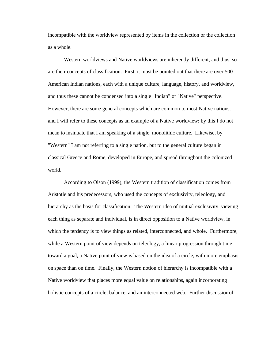incompatible with the worldview represented by items in the collection or the collection as a whole.

Western worldviews and Native worldviews are inherently different, and thus, so are their concepts of classification. First, it must be pointed out that there are over 500 American Indian nations, each with a unique culture, language, history, and worldview, and thus these cannot be condensed into a single "Indian" or "Native" perspective. However, there are some general concepts which are common to most Native nations, and I will refer to these concepts as an example of a Native worldview; by this I do not mean to insinuate that I am speaking of a single, monolithic culture. Likewise, by "Western" I am not referring to a single nation, but to the general culture began in classical Greece and Rome, developed in Europe, and spread throughout the colonized world.

According to Olson (1999), the Western tradition of classification comes from Aristotle and his predecessors, who used the concepts of exclusivity, teleology, and hierarchy as the basis for classification. The Western idea of mutual exclusivity, viewing each thing as separate and individual, is in direct opposition to a Native worldview, in which the tendency is to view things as related, interconnected, and whole. Furthermore, while a Western point of view depends on teleology, a linear progression through time toward a goal, a Native point of view is based on the idea of a circle, with more emphasis on space than on time. Finally, the Western notion of hierarchy is incompatible with a Native worldview that places more equal value on relationships, again incorporating holistic concepts of a circle, balance, and an interconnected web. Further discussion of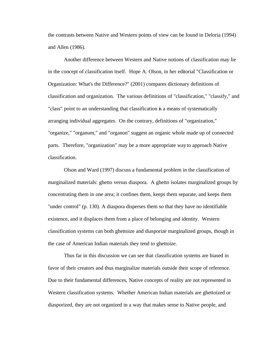the contrasts between Native and Western points of view can be found in Deloria (1994) and Allen (1986).

Another difference between Western and Native notions of classification may lie in the concept of classification itself. Hope A. Olson, in her editorial "Classification or Organization: What's the Difference?" (2001) compares dictionary definitions of classification and organization. The various definitions of "classification," "classify," and "class" point to an understanding that classification is a means of systematically arranging individual aggregates. On the contrary, definitions of "organization," "organize," "organum," and "organon" suggest an organic whole made up of connected parts. Therefore, "organization" may be a more appropriate way to approach Native classification.

Olson and Ward (1997) discuss a fundamental problem in the classification of marginalized materials: ghetto versus diaspora. A ghetto isolates marginalized groups by concentrating them in one area; it confines them, keeps them separate, and keeps them "under control" (p. 130). A diaspora disperses them so that they have no identifiable existence, and it displaces them from a place of belonging and identity. Western classification systems can both ghettoize and diasporize marginalized groups, though in the case of American Indian materials they tend to ghettoize.

Thus far in this discussion we can see that classification systems are biased in favor of their creators and thus marginalize materials outside their scope of reference. Due to their fundamental differences, Native concepts of reality are not represented in Western classification systems. Whether American Indian materials are ghettoized or diasporized, they are not organized in a way that makes sense to Native people, and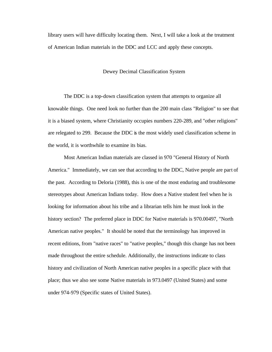library users will have difficulty locating them. Next, I will take a look at the treatment of American Indian materials in the DDC and LCC and apply these concepts.

#### Dewey Decimal Classification System

The DDC is a top-down classification system that attempts to organize all knowable things. One need look no further than the 200 main class "Religion" to see that it is a biased system, where Christianity occupies numbers 220-289, and "other religions" are relegated to 299. Because the DDC is the most widely used classification scheme in the world, it is worthwhile to examine its bias.

Most American Indian materials are classed in 970 "General History of North America." Immediately, we can see that according to the DDC, Native people are part of the past. According to Deloria (1988), this is one of the most enduring and troublesome stereotypes about American Indians today. How does a Native student feel when he is looking for information about his tribe and a librarian tells him he must look in the history section? The preferred place in DDC for Native materials is 970.00497, "North American native peoples." It should be noted that the terminology has improved in recent editions, from "native races" to "native peoples," though this change has not been made throughout the entire schedule. Additionally, the instructions indicate to class history and civilization of North American native peoples in a specific place with that place; thus we also see some Native materials in 973.0497 (United States) and some under 974-979 (Specific states of United States).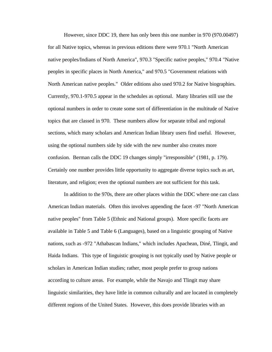However, since DDC 19, there has only been this one number in 970 (970.00497) for all Native topics, whereas in previous editions there were 970.1 "North American native peoples/Indians of North America", 970.3 "Specific native peoples," 970.4 "Native peoples in specific places in North America," and 970.5 "Government relations with North American native peoples." Older editions also used 970.2 for Native biographies. Currently, 970.1-970.5 appear in the schedules as optional. Many libraries still use the optional numbers in order to create some sort of differentiation in the multitude of Native topics that are classed in 970. These numbers allow for separate tribal and regional sections, which many scholars and American Indian library users find useful. However, using the optional numbers side by side with the new number also creates more confusion. Berman calls the DDC 19 changes simply "irresponsible" (1981, p. 179). Certainly one number provides little opportunity to aggregate diverse topics such as art, literature, and religion; even the optional numbers are not sufficient for this task.

In addition to the 970s, there are other places within the DDC where one can class American Indian materials. Often this involves appending the facet -97 "North American native peoples" from Table 5 (Ethnic and National groups). More specific facets are available in Table 5 and Table 6 (Languages), based on a linguistic grouping of Native nations, such as -972 "Athabascan Indians," which includes Apachean, Diné, Tlingit, and Haida Indians. This type of linguistic grouping is not typically used by Native people or scholars in American Indian studies; rather, most people prefer to group nations according to culture areas. For example, while the Navajo and Tlingit may share linguistic similarities, they have little in common culturally and are located in completely different regions of the United States. However, this does provide libraries with an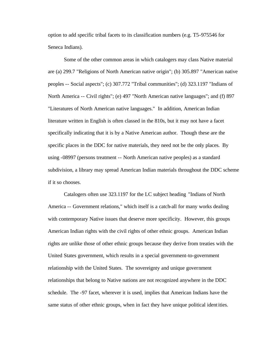option to add specific tribal facets to its classification numbers (e.g. T5-975546 for Seneca Indians).

Some of the other common areas in which catalogers may class Native material are (a) 299.7 "Religions of North American native origin"; (b) 305.897 "American native peoples -- Social aspects"; (c) 307.772 "Tribal communities"; (d) 323.1197 "Indians of North America -- Civil rights"; (e) 497 "North American native languages"; and (f) 897 "Literatures of North American native languages." In addition, American Indian literature written in English is often classed in the 810s, but it may not have a facet specifically indicating that it is by a Native American author. Though these are the specific places in the DDC for native materials, they need not be the only places. By using -08997 (persons treatment -- North American native peoples) as a standard subdivision, a library may spread American Indian materials throughout the DDC scheme if it so chooses.

Catalogers often use 323.1197 for the LC subject heading "Indians of North America -- Government relations," which itself is a catch-all for many works dealing with contemporary Native issues that deserve more specificity. However, this groups American Indian rights with the civil rights of other ethnic groups. American Indian rights are unlike those of other ethnic groups because they derive from treaties with the United States government, which results in a special government-to-government relationship with the United States. The sovereignty and unique government relationships that belong to Native nations are not recognized anywhere in the DDC schedule. The -97 facet, wherever it is used, implies that American Indians have the same status of other ethnic groups, when in fact they have unique political identities.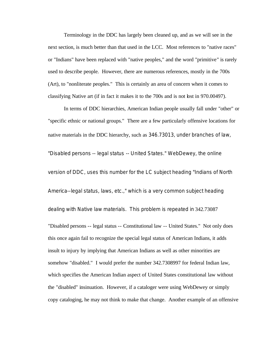Terminology in the DDC has largely been cleaned up, and as we will see in the next section, is much better than that used in the LCC. Most references to "native races" or "Indians" have been replaced with "native peoples," and the word "primitive" is rarely used to describe people. However, there are numerous references, mostly in the 700s (Art), to "nonliterate peoples." This is certainly an area of concern when it comes to classifying Native art (if in fact it makes it to the 700s and is not lost in 970.00497).

In terms of DDC hierarchies, American Indian people usually fall under "other" or "specific ethnic or national groups." There are a few particularly offensive locations for native materials in the DDC hierarchy, such as 346.73013, under branches of law, "Disabled persons -- legal status -- United States." WebDewey, the online version of DDC, uses this number for the LC subject heading "Indians of North America--legal status, laws, etc.," which is a very common subject heading dealing with Native law materials. This problem is repeated in 342.73087 "Disabled persons -- legal status -- Constitutional law -- United States." Not only does this once again fail to recognize the special legal status of American Indians, it adds insult to injury by implying that American Indians as well as other minorities are somehow "disabled." I would prefer the number 342.7308997 for federal Indian law, which specifies the American Indian aspect of United States constitutional law without the "disabled" insinuation. However, if a cataloger were using WebDewey or simply copy cataloging, he may not think to make that change. Another example of an offensive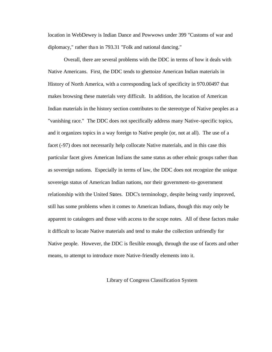location in WebDewey is Indian Dance and Powwows under 399 "Customs of war and diplomacy," rather than in 793.31 "Folk and national dancing."

Overall, there are several problems with the DDC in terms of how it deals with Native Americans. First, the DDC tends to ghettoize American Indian materials in History of North America, with a corresponding lack of specificity in 970.00497 that makes browsing these materials very difficult. In addition, the location of American Indian materials in the history section contributes to the stereotype of Native peoples as a "vanishing race." The DDC does not specifically address many Native-specific topics, and it organizes topics in a way foreign to Native people (or, not at all). The use of a facet (-97) does not necessarily help collocate Native materials, and in this case this particular facet gives American Indians the same status as other ethnic groups rather than as sovereign nations. Especially in terms of law, the DDC does not recognize the unique sovereign status of American Indian nations, nor their government-to-government relationship with the United States. DDC's terminology, despite being vastly improved, still has some problems when it comes to American Indians, though this may only be apparent to catalogers and those with access to the scope notes. All of these factors make it difficult to locate Native materials and tend to make the collection unfriendly for Native people. However, the DDC is flexible enough, through the use of facets and other means, to attempt to introduce more Native-friendly elements into it.

#### Library of Congress Classification System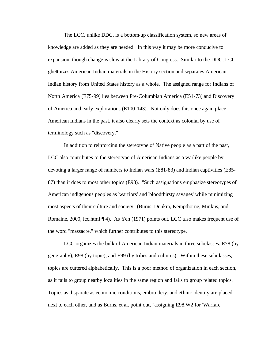The LCC, unlike DDC, is a bottom-up classification system, so new areas of knowledge are added as they are needed. In this way it may be more conducive to expansion, though change is slow at the Library of Congress. Similar to the DDC, LCC ghettoizes American Indian materials in the History section and separates American Indian history from United States history as a whole. The assigned range for Indians of North America (E75-99) lies between Pre-Columbian America (E51-73) and Discovery of America and early explorations (E100-143). Not only does this once again place American Indians in the past, it also clearly sets the context as colonial by use of terminology such as "discovery."

In addition to reinforcing the stereotype of Native people as a part of the past, LCC also contributes to the stereotype of American Indians as a warlike people by devoting a larger range of numbers to Indian wars (E81-83) and Indian captivities (E85- 87) than it does to most other topics (E98). "Such assignations emphasize stereotypes of American indigenous peoples as 'warriors' and 'bloodthirsty savages' while minimizing most aspects of their culture and society" (Burns, Dunkin, Kempthorne, Minkus, and Romaine, 2000, lcc.html  $\P$  4). As Yeh (1971) points out, LCC also makes frequent use of the word "massacre," which further contributes to this stereotype.

LCC organizes the bulk of American Indian materials in three subclasses: E78 (by geography), E98 (by topic), and E99 (by tribes and cultures). Within these subclasses, topics are cuttered alphabetically. This is a poor method of organization in each section, as it fails to group nearby localities in the same region and fails to group related topics. Topics as disparate as economic conditions, embroidery, and ethnic identity are placed next to each other, and as Burns, et al. point out, "assigning E98.W2 for 'Warfare.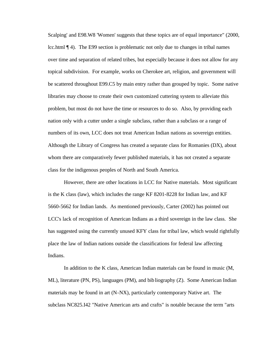Scalping' and E98.W8 'Women' suggests that these topics are of equal importance" (2000, lcc.html ¶ 4). The E99 section is problematic not only due to changes in tribal names over time and separation of related tribes, but especially because it does not allow for any topical subdivision. For example, works on Cherokee art, religion, and government will be scattered throughout E99.C5 by main entry rather than grouped by topic. Some native libraries may choose to create their own customized cuttering system to alleviate this problem, but most do not have the time or resources to do so. Also, by providing each nation only with a cutter under a single subclass, rather than a subclass or a range of numbers of its own, LCC does not treat American Indian nations as sovereign entities. Although the Library of Congress has created a separate class for Romanies (DX), about whom there are comparatively fewer published materials, it has not created a separate class for the indigenous peoples of North and South America.

However, there are other locations in LCC for Native materials. Most significant is the K class (law), which includes the range KF 8201-8228 for Indian law, and KF 5660-5662 for Indian lands. As mentioned previously, Carter (2002) has pointed out LCC's lack of recognition of American Indians as a third sovereign in the law class. She has suggested using the currently unused KFY class for tribal law, which would rightfully place the law of Indian nations outside the classifications for federal law affecting Indians.

In addition to the K class, American Indian materials can be found in music (M, ML), literature (PN, PS), languages (PM), and bibliography (Z). Some American Indian materials may be found in art (N-NX), particularly contemporary Native art. The subclass NC825.I42 "Native American arts and crafts" is notable because the term "arts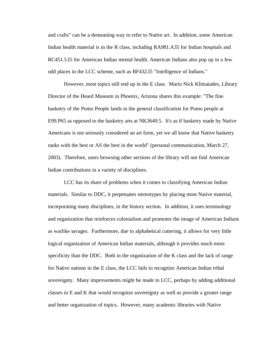and crafts" can be a demeaning way to refer to Native art. In addition, some American Indian health material is in the R class, including RA981.A35 for Indian hospitals and RC451.5.I5 for American Indian mental health. American Indians also pop up in a few odd places in the LCC scheme, such as BF432.I5 "Intelligence of Indians."

However, most topics still end up in the E class. Mario Nick Klimaiades, Library Director of the Heard Museum in Phoenix, Arizona shares this example: "The fine basketry of the Pomo People lands in the general classification for Pomo people at E99.P65 as opposed to the basketry arts at NK3649.5. It's as if basketry made by Native Americans is not seriously considered an art form, yet we all know that Native basketry ranks with the best or AS the best in the world" (personal communication, March 27, 2003). Therefore, users browsing other sections of the library will not find American Indian contributions in a variety of disciplines.

LCC has its share of problems when it comes to classifying American Indian materials. Similar to DDC, it perpetuates stereotypes by placing most Native material, incorporating many disciplines, in the history section. In addition, it uses terminology and organization that reinforces colonialism and promotes the image of American Indians as warlike savages. Furthermore, due to alphabetical cuttering, it allows for very little logical organization of American Indian materials, although it provides much more specificity than the DDC. Both in the organization of the K class and the lack of range for Native nations in the E class, the LCC fails to recognize American Indian tribal sovereignty. Many improvements might be made to LCC, perhaps by adding additional classes in E and K that would recognize sovereignty as well as provide a greater range and better organization of topics. However, many academic libraries with Native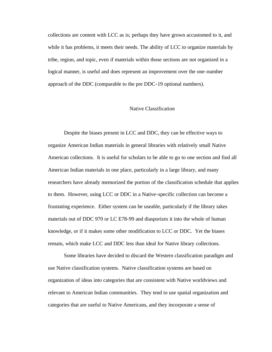collections are content with LCC as is; perhaps they have grown accustomed to it, and while it has problems, it meets their needs. The ability of LCC to organize materials by tribe, region, and topic, even if materials within those sections are not organized in a logical manner, is useful and does represent an improvement over the one-number approach of the DDC (comparable to the pre DDC-19 optional numbers).

#### Native Classification

Despite the biases present in LCC and DDC, they can be effective ways to organize American Indian materials in general libraries with relatively small Native American collections. It is useful for scholars to be able to go to one section and find all American Indian materials in one place, particularly in a large library, and many researchers have already memorized the portion of the classification schedule that applies to them. However, using LCC or DDC in a Native-specific collection can become a frustrating experience. Either system can be useable, particularly if the library takes materials out of DDC 970 or LC E78-99 and diasporizes it into the whole of human knowledge, or if it makes some other modification to LCC or DDC. Yet the biases remain, which make LCC and DDC less than ideal for Native library collections.

Some libraries have decided to discard the Western classification paradigm and use Native classification systems. Native classification systems are based on organization of ideas into categories that are consistent with Native worldviews and relevant to American Indian communities. They tend to use spatial organization and categories that are useful to Native Americans, and they incorporate a sense of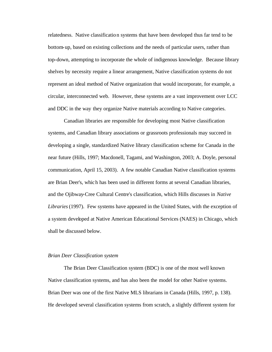relatedness. Native classification systems that have been developed thus far tend to be bottom-up, based on existing collections and the needs of particular users, rather than top-down, attempting to incorporate the whole of indigenous knowledge. Because library shelves by necessity require a linear arrangement, Native classification systems do not represent an ideal method of Native organization that would incorporate, for example, a circular, interconnected web. However, these systems are a vast improvement over LCC and DDC in the way they organize Native materials according to Native categories.

Canadian libraries are responsible for developing most Native classification systems, and Canadian library associations or grassroots professionals may succeed in developing a single, standardized Native library classification scheme for Canada in the near future (Hills, 1997; Macdonell, Tagami, and Washington, 2003; A. Doyle, personal communication, April 15, 2003). A few notable Canadian Native classification systems are Brian Deer's, which has been used in different forms at several Canadian libraries, and the Ojibway-Cree Cultural Centre's classification, which Hills discusses in *Native Libraries* (1997). Few systems have appeared in the United States, with the exception of a system developed at Native American Educational Services (NAES) in Chicago, which shall be discussed below.

#### *Brian Deer Classification system*

The Brian Deer Classification system (BDC) is one of the most well known Native classification systems, and has also been the model for other Native systems. Brian Deer was one of the first Native MLS librarians in Canada (Hills, 1997, p. 138). He developed several classification systems from scratch, a slightly different system for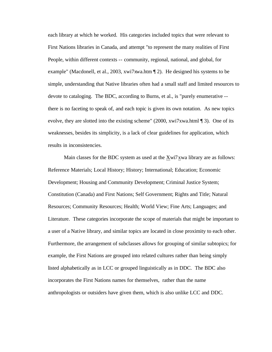each library at which he worked. His categories included topics that were relevant to First Nations libraries in Canada, and attempt "to represent the many realities of First People, within different contexts -- community, regional, national, and global, for example" (Macdonell, et al., 2003, xwi7xwa.htm ¶ 2). He designed his systems to be simple, understanding that Native libraries often had a small staff and limited resources to devote to cataloging. The BDC, according to Burns, et al., is "purely enumerative - there is no faceting to speak of, and each topic is given its own notation. As new topics evolve, they are slotted into the existing scheme" (2000, xwi7xwa.html ¶ 3). One of its weaknesses, besides its simplicity, is a lack of clear guidelines for application, which results in inconsistencies.

Main classes for the BDC system as used at the Xwi7xwa library are as follows: Reference Materials; Local History; History; International; Education; Economic Development; Housing and Community Development; Criminal Justice System; Constitution (Canada) and First Nations; Self Government; Rights and Title; Natural Resources; Community Resources; Health; World View; Fine Arts; Languages; and Literature. These categories incorporate the scope of materials that might be important to a user of a Native library, and similar topics are located in close proximity to each other. Furthermore, the arrangement of subclasses allows for grouping of similar subtopics; for example, the First Nations are grouped into related cultures rather than being simply listed alphabetically as in LCC or grouped linguistically as in DDC. The BDC also incorporates the First Nations names for themselves, rather than the name anthropologists or outsiders have given them, which is also unlike LCC and DDC.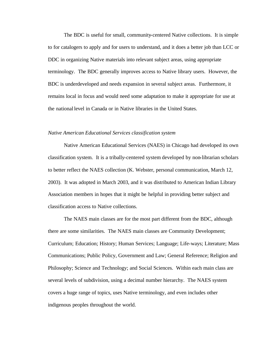The BDC is useful for small, community-centered Native collections. It is simple to for catalogers to apply and for users to understand, and it does a better job than LCC or DDC in organizing Native materials into relevant subject areas, using appropriate terminology. The BDC generally improves access to Native library users. However, the BDC is underdeveloped and needs expansion in several subject areas. Furthermore, it remains local in focus and would need some adaptation to make it appropriate for use at the national level in Canada or in Native libraries in the United States.

#### *Native American Educational Services classification system*

Native American Educational Services (NAES) in Chicago had developed its own classification system. It is a tribally-centered system developed by non-librarian scholars to better reflect the NAES collection (K. Webster, personal communication, March 12, 2003). It was adopted in March 2003, and it was distributed to American Indian Library Association members in hopes that it might be helpful in providing better subject and classification access to Native collections.

The NAES main classes are for the most part different from the BDC, although there are some similarities. The NAES main classes are Community Development; Curriculum; Education; History; Human Services; Language; Life-ways; Literature; Mass Communications; Public Policy, Government and Law; General Reference; Religion and Philosophy; Science and Technology; and Social Sciences. Within each main class are several levels of subdivision, using a decimal number hierarchy. The NAES system covers a huge range of topics, uses Native terminology, and even includes other indigenous peoples throughout the world.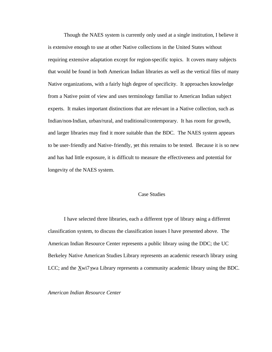Though the NAES system is currently only used at a single institution, I believe it is extensive enough to use at other Native collections in the United States without requiring extensive adaptation except for region-specific topics. It covers many subjects that would be found in both American Indian libraries as well as the vertical files of many Native organizations, with a fairly high degree of specificity. It approaches knowledge from a Native point of view and uses terminology familiar to American Indian subject experts. It makes important distinctions that are relevant in a Native collection, such as Indian/non-Indian, urban/rural, and traditional/contemporary. It has room for growth, and larger libraries may find it more suitable than the BDC. The NAES system appears to be user-friendly and Native-friendly, yet this remains to be tested. Because it is so new and has had little exposure, it is difficult to measure the effectiveness and potential for longevity of the NAES system.

### Case Studies

I have selected three libraries, each a different type of library using a different classification system, to discuss the classification issues I have presented above. The American Indian Resource Center represents a public library using the DDC; the UC Berkeley Native American Studies Library represents an academic research library using LCC; and the Xwi7xwa Library represents a community academic library using the BDC.

*American Indian Resource Center*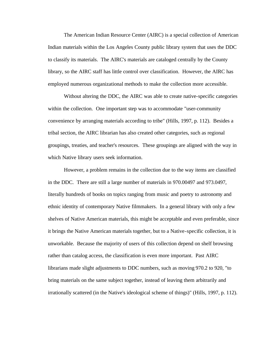The American Indian Resource Center (AIRC) is a special collection of American Indian materials within the Los Angeles County public library system that uses the DDC to classify its materials. The AIRC's materials are cataloged centrally by the County library, so the AIRC staff has little control over classification. However, the AIRC has employed numerous organizational methods to make the collection more accessible.

Without altering the DDC, the AIRC was able to create native-specific categories within the collection. One important step was to accommodate "user-community convenience by arranging materials according to tribe" (Hills, 1997, p. 112). Besides a tribal section, the AIRC librarian has also created other categories, such as regional groupings, treaties, and teacher's resources. These groupings are aligned with the way in which Native library users seek information.

However, a problem remains in the collection due to the way items are classified in the DDC. There are still a large number of materials in 970.00497 and 973.0497, literally hundreds of books on topics ranging from music and poetry to astronomy and ethnic identity of contemporary Native filmmakers. In a general library with only a few shelves of Native American materials, this might be acceptable and even preferable, since it brings the Native American materials together, but to a Native-specific collection, it is unworkable. Because the majority of users of this collection depend on shelf browsing rather than catalog access, the classification is even more important. Past AIRC librarians made slight adjustments to DDC numbers, such as moving 970.2 to 920, "to bring materials on the same subject together, instead of leaving them arbitrarily and irrationally scattered (in the Native's ideological scheme of things)" (Hills, 1997, p. 112).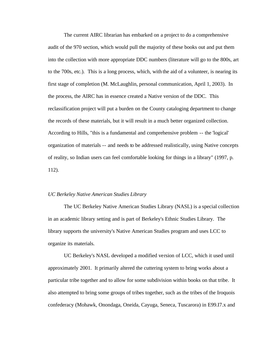The current AIRC librarian has embarked on a project to do a comprehensive audit of the 970 section, which would pull the majority of these books out and put them into the collection with more appropriate DDC numbers (literature will go to the 800s, art to the 700s, etc.). This is a long process, which, with the aid of a volunteer, is nearing its first stage of completion (M. McLaughlin, personal communication, April 1, 2003). In the process, the AIRC has in essence created a Native version of the DDC. This reclassification project will put a burden on the County cataloging department to change the records of these materials, but it will result in a much better organized collection. According to Hills, "this is a fundamental and comprehensive problem -- the 'logical' organization of materials -- and needs to be addressed realistically, using Native concepts of reality, so Indian users can feel comfortable looking for things in a library" (1997, p. 112).

#### *UC Berkeley Native American Studies Library*

 The UC Berkeley Native American Studies Library (NASL) is a special collection in an academic library setting and is part of Berkeley's Ethnic Studies Library. The library supports the university's Native American Studies program and uses LCC to organize its materials.

UC Berkeley's NASL developed a modified version of LCC, which it used until approximately 2001. It primarily altered the cuttering system to bring works about a particular tribe together and to allow for some subdivision within books on that tribe. It also attempted to bring some groups of tribes together, such as the tribes of the Iroquois confederacy (Mohawk, Onondaga, Oneida, Cayuga, Seneca, Tuscarora) in E99.I7.x and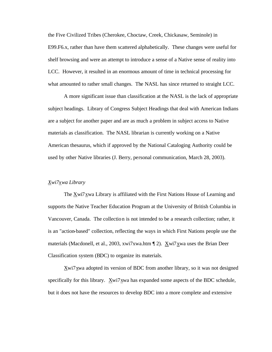the Five Civilized Tribes (Cherokee, Choctaw, Creek, Chickasaw, Seminole) in E99.F6.x, rather than have them scattered alphabetically. These changes were useful for shelf browsing and were an attempt to introduce a sense of a Native sense of reality into LCC. However, it resulted in an enormous amount of time in technical processing for what amounted to rather small changes. The NASL has since returned to straight LCC.

A more significant issue than classification at the NASL is the lack of appropriate subject headings. Library of Congress Subject Headings that deal with American Indians are a subject for another paper and are as much a problem in subject access to Native materials as classification. The NASL librarian is currently working on a Native American thesaurus, which if approved by the National Cataloging Authority could be used by other Native libraries (J. Berry, personal communication, March 28, 2003).

## *Xwi7xwa Library*

The Xwi7xwa Library is affiliated with the First Nations House of Learning and supports the Native Teacher Education Program at the University of British Columbia in Vancouver, Canada. The collection is not intended to be a research collection; rather, it is an "action-based" collection, reflecting the ways in which First Nations people use the materials (Macdonell, et al., 2003, xwi7xwa.htm ¶ 2). Xwi7xwa uses the Brian Deer Classification system (BDC) to organize its materials.

Xwi7xwa adopted its version of BDC from another library, so it was not designed specifically for this library. Xwi7xwa has expanded some aspects of the BDC schedule, but it does not have the resources to develop BDC into a more complete and extensive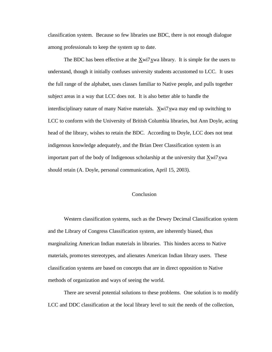classification system. Because so few libraries use BDC, there is not enough dialogue among professionals to keep the system up to date.

The BDC has been effective at the Xwi7xwa library. It is simple for the users to understand, though it initially confuses university students accustomed to LCC. It uses the full range of the alphabet, uses classes familiar to Native people, and pulls together subject areas in a way that LCC does not. It is also better able to handle the interdisciplinary nature of many Native materials. Xwi7xwa may end up switching to LCC to conform with the University of British Columbia libraries, but Ann Doyle, acting head of the library, wishes to retain the BDC. According to Doyle, LCC does not treat indigenous knowledge adequately, and the Brian Deer Classification system is an important part of the body of Indigenous scholarship at the university that Xwi7xwa should retain (A. Doyle, personal communication, April 15, 2003).

#### Conclusion

Western classification systems, such as the Dewey Decimal Classification system and the Library of Congress Classification system, are inherently biased, thus marginalizing American Indian materials in libraries. This hinders access to Native materials, promotes stereotypes, and alienates American Indian library users. These classification systems are based on concepts that are in direct opposition to Native methods of organization and ways of seeing the world.

There are several potential solutions to these problems. One solution is to modify LCC and DDC classification at the local library level to suit the needs of the collection,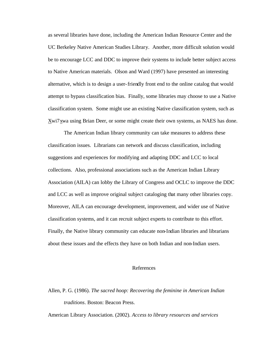as several libraries have done, including the American Indian Resource Center and the UC Berkeley Native American Studies Library. Another, more difficult solution would be to encourage LCC and DDC to improve their systems to include better subject access to Native American materials. Olson and Ward (1997) have presented an interesting alternative, which is to design a user-friendly front end to the online catalog that would attempt to bypass classification bias. Finally, some libraries may choose to use a Native classification system. Some might use an existing Native classification system, such as Xwi7xwa using Brian Deer, or some might create their own systems, as NAES has done.

The American Indian library community can take measures to address these classification issues. Librarians can network and discuss classification, including suggestions and experiences for modifying and adapting DDC and LCC to local collections. Also, professional associations such as the American Indian Library Association (AILA) can lobby the Library of Congress and OCLC to improve the DDC and LCC as well as improve original subject cataloging that many other libraries copy. Moreover, AILA can encourage development, improvement, and wider use of Native classification systems, and it can recruit subject experts to contribute to this effort. Finally, the Native library community can educate non-Indian libraries and librarians about these issues and the effects they have on both Indian and non-Indian users.

## References

Allen, P. G. (1986). *The sacred hoop: Recovering the feminine in American Indian traditions*. Boston: Beacon Press.

American Library Association. (2002). *Access to library resources and services*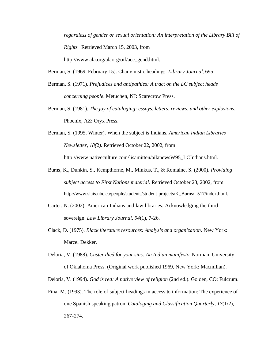*regardless of gender or sexual orientation: An interpretation of the Library Bill of Rights*. Retrieved March 15, 2003, from http://www.ala.org/alaorg/oif/acc\_gend.html.

Berman, S. (1969, February 15). Chauvinistic headings. *Library Journal*, 695.

- Berman, S. (1971). *Prejudices and antipathies: A tract on the LC subject heads concerning people*. Metuchen, NJ: Scarecrow Press.
- Berman, S. (1981). *The joy of cataloging: essays, letters, reviews, and other explosions*. Phoenix, AZ: Oryx Press.
- Berman, S. (1995, Winter). When the subject is Indians. *American Indian Libraries Newsletter, 18(*2*).* Retrieved October 22, 2002, from http://www.nativeculture.com/lisamitten/ailanewsW95\_LCIndians.html.
- Burns, K., Dunkin, S., Kempthorne, M., Minkus, T., & Romaine, S. (2000). *Providing subject access to First Nations material*. Retrieved October 23, 2002, from http://www.slais.ubc.ca/people/students/student-projects/K\_Burns/L517/index.html.
- Carter, N. (2002). American Indians and law libraries: Acknowledging the third sovereign. *Law Library Journal, 94*(1), 7-26.
- Clack, D. (1975). *Black literature resources: Analysis and organization*. New York: Marcel Dekker.
- Deloria, V. (1988). *Custer died for your sins: An Indian manifesto*. Norman: University of Oklahoma Press. (Original work published 1969, New York: Macmillan).

Deloria, V. (1994). *God is red: A native view of religion* (2nd ed.). Golden, CO: Fulcrum.

Fina, M. (1993). The role of subject headings in access to information: The experience of one Spanish-speaking patron. *Cataloging and Classification Quarterly, 17*(1/2), 267-274.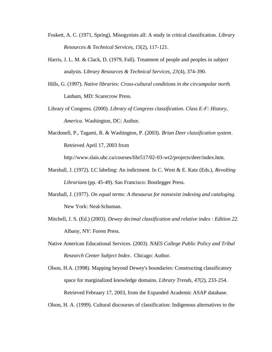- Foskett, A. C. (1971, Spring). Misogynists all: A study in critical classification. *Library Resources & Technical Services, 15*(2), 117-121.
- Harris, J. L. M. & Clack, D. (1979, Fall). Treatment of people and peoples in subject analysis. *Library Resources & Technical Services, 23*(4), 374-390.
- Hills, G. (1997). *Native libraries: Cross-cultural conditions in the circumpolar north*. Lanham, MD: Scarecrow Press.
- Library of Congress. (2000). *Library of Congress classification. Class E-F: History, America.* Washington, DC: Author.
- Macdonell, P., Tagami, R. & Washington, P. (2003). *Brian Deer classification system*. Retrieved April 17, 2003 from

http://www.slais.ubc.ca/courses/libr517/02-03-wt2/projects/deer/index.htm.

- Marshall, J. (1972). LC labeling: An indictment. In C. West & E. Katz (Eds.), *Revolting Librarians* (pp. 45-49). San Francisco: Bootlegger Press.
- Marshall, J. (1977). *On equal terms: A thesaurus for nonsexist indexing and cataloging*. New York: Neal-Schuman.
- Mitchell, J. S. (Ed.) (2003). *Dewey decimal classification and relative index : Edition 22*. Albany, NY: Forest Press.
- Native American Educational Services. (2003). *NAES College Public Policy and Tribal Research Center Subject Index*. Chicago: Author.

Olson, H.A. (1998). Mapping beyond Dewey's boundaries: Constructing classificatory space for marginalized knowledge domains. *Library Trends, 47*(2), 233-254. Retrieved February 17, 2003, from the Expanded Academic ASAP database.

Olson, H. A. (1999). Cultural discourses of classification: Indigenous alternatives to the